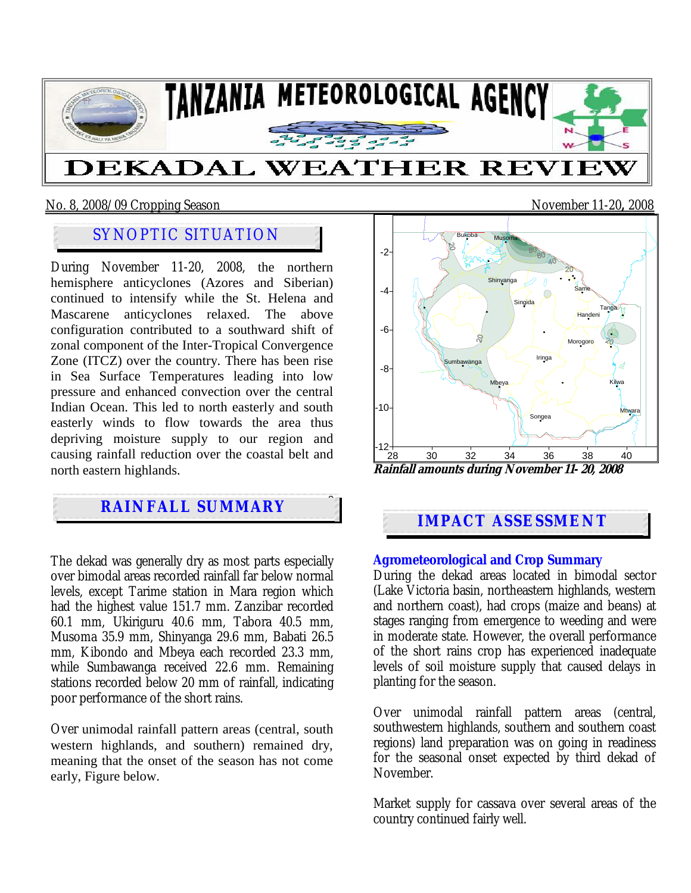

### No. 8, 2008/09 Cropping Season November 11-20**,** 2008

## SYNOPTIC SITUATION

During November 11-20, 2008, the northern hemisphere anticyclones (Azores and Siberian) continued to intensify while the St. Helena and Mascarene anticyclones relaxed. The above configuration contributed to a southward shift of zonal component of the Inter-Tropical Convergence Zone (ITCZ) over the country. There has been rise in Sea Surface Temperatures leading into low pressure and enhanced convection over the central Indian Ocean. This led to north easterly and south easterly winds to flow towards the area thus depriving moisture supply to our region and causing rainfall reduction over the coastal belt and north eastern highlands.

# **Particularly with the short rain season, Vuli, Were all and SUMMARY**

the *i*

The dekad was generally dry as most parts especially over bimodal areas recorded rainfall far below normal levels, except Tarime station in Mara region which had the highest value 151.7 mm. Zanzibar recorded 60.1 mm, Ukiriguru 40.6 mm, Tabora 40.5 mm, Musoma 35.9 mm, Shinyanga 29.6 mm, Babati 26.5 mm, Kibondo and Mbeya each recorded 23.3 mm, while Sumbawanga received 22.6 mm. Remaining stations recorded below 20 mm of rainfall, indicating poor performance of the short rains.

Over unimodal rainfall pattern areas (central, south western highlands, and southern) remained dry, meaning that the onset of the season has not come early, Figure below.

28 30 32 34 36 38 40 -12  $-10<sup>1</sup>$ -8 -6 -4 -2 Bukoba Shinyanga Musoma **Same** Moroc Tanga Mtwara Iringa Mbeya **Sumbawanga** Songea Singida Handeni Kilwa **Rainfall amounts during November 11- 20, 2008** 

### **IMPACT ASSESSMENT**

**Agrometeorological and Crop Summary** During the dekad areas located in bimodal sector (Lake Victoria basin, northeastern highlands, western and northern coast), had crops (maize and beans) at stages ranging from emergence to weeding and were in moderate state. However, the overall performance of the short rains crop has experienced inadequate levels of soil moisture supply that caused delays in planting for the season.

Over unimodal rainfall pattern areas (central, southwestern highlands, southern and southern coast regions) land preparation was on going in readiness for the seasonal onset expected by third dekad of November.

Market supply for cassava over several areas of the country continued fairly well.